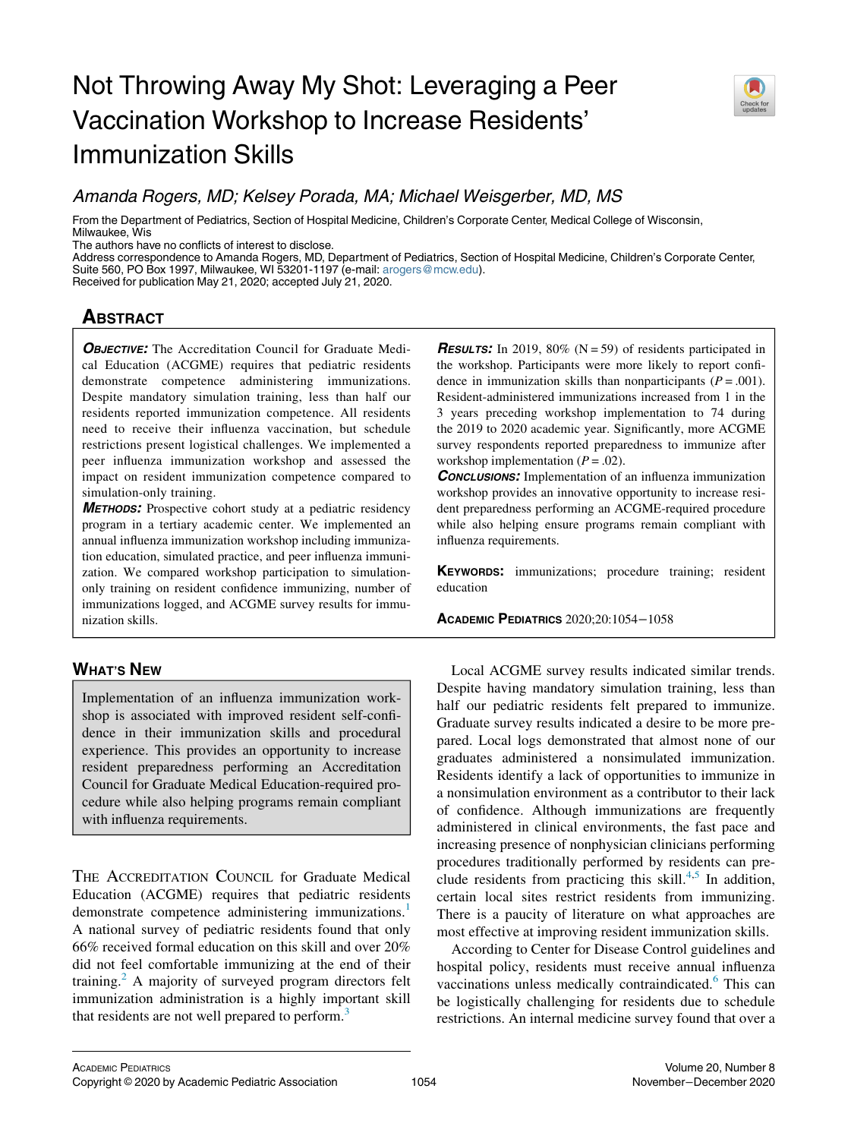# Not Throwing Away My Shot: Leveraging a Peer Vaccination Workshop to Increase Residents' Immunization Skills



# Amanda Rogers, MD; Kelsey Porada, MA; Michael Weisgerber, MD, MS

From the Department of Pediatrics, Section of Hospital Medicine, Children's Corporate Center, Medical College of Wisconsin, Milwaukee, Wis

The authors have no conflicts of interest to disclose.

Address correspondence to Amanda Rogers, MD, Department of Pediatrics, Section of Hospital Medicine, Children's Corporate Center, Suite 560, PO Box 1997, Milwaukee, WI 53201-1197 (e-mail: [arogers@mcw.edu\)](mailto:arogers@mcw.edu).

Received for publication May 21, 2020; accepted July 21, 2020.

## **ABSTRACT** <u>ABSTRACT</u>

**OBJECTIVE:** The Accreditation Council for Graduate Medical Education (ACGME) requires that pediatric residents demonstrate competence administering immunizations. Despite mandatory simulation training, less than half our residents reported immunization competence. All residents need to receive their influenza vaccination, but schedule restrictions present logistical challenges. We implemented a peer influenza immunization workshop and assessed the impact on resident immunization competence compared to simulation-only training.

METHODS: Prospective cohort study at a pediatric residency program in a tertiary academic center. We implemented an annual influenza immunization workshop including immunization education, simulated practice, and peer influenza immunization. We compared workshop participation to simulationonly training on resident confidence immunizing, number of immunizations logged, and ACGME survey results for immunization skills.

### **WHAT'S NEW** <u>which is new</u>

Implementation of an influenza immunization workshop is associated with improved resident self-confidence in their immunization skills and procedural experience. This provides an opportunity to increase resident preparedness performing an Accreditation Council for Graduate Medical Education-required procedure while also helping programs remain compliant with influenza requirements.

THE ACCREDITATION COUNCIL for Graduate Medical Education (ACGME) requires that pediatric residents demonstrate competence administering immunizations.<sup>[1](#page-4-0)</sup> A national survey of pediatric residents found that only 66% received formal education on this skill and over 20% did not feel comfortable immunizing at the end of their training.<sup>[2](#page-4-1)</sup> A majority of surveyed program directors felt immunization administration is a highly important skill that residents are not well prepared to perform.<sup>[3](#page-4-2)</sup>

**RESULTS:** In 2019, 80% ( $N = 59$ ) of residents participated in the workshop. Participants were more likely to report confidence in immunization skills than nonparticipants  $(P = .001)$ . Resident-administered immunizations increased from 1 in the 3 years preceding workshop implementation to 74 during the 2019 to 2020 academic year. Significantly, more ACGME survey respondents reported preparedness to immunize after workshop implementation  $(P = .02)$ .

**CONCLUSIONS:** Implementation of an influenza immunization workshop provides an innovative opportunity to increase resident preparedness performing an ACGME-required procedure while also helping ensure programs remain compliant with influenza requirements.

KEYWORDS: immunizations; procedure training; resident education

ACADEMIC PEDIATRICS 2020;20:1054−<sup>1058</sup>

Local ACGME survey results indicated similar trends. Despite having mandatory simulation training, less than half our pediatric residents felt prepared to immunize. Graduate survey results indicated a desire to be more prepared. Local logs demonstrated that almost none of our graduates administered a nonsimulated immunization. Residents identify a lack of opportunities to immunize in a nonsimulation environment as a contributor to their lack of confidence. Although immunizations are frequently administered in clinical environments, the fast pace and increasing presence of nonphysician clinicians performing procedures traditionally performed by residents can pre-clude residents from practicing this skill.<sup>[4,](#page-4-3)[5](#page-4-4)</sup> In addition, certain local sites restrict residents from immunizing. There is a paucity of literature on what approaches are most effective at improving resident immunization skills.

According to Center for Disease Control guidelines and hospital policy, residents must receive annual influenza vaccinations unless medically contraindicated.<sup>[6](#page-4-5)</sup> This can be logistically challenging for residents due to schedule restrictions. An internal medicine survey found that over a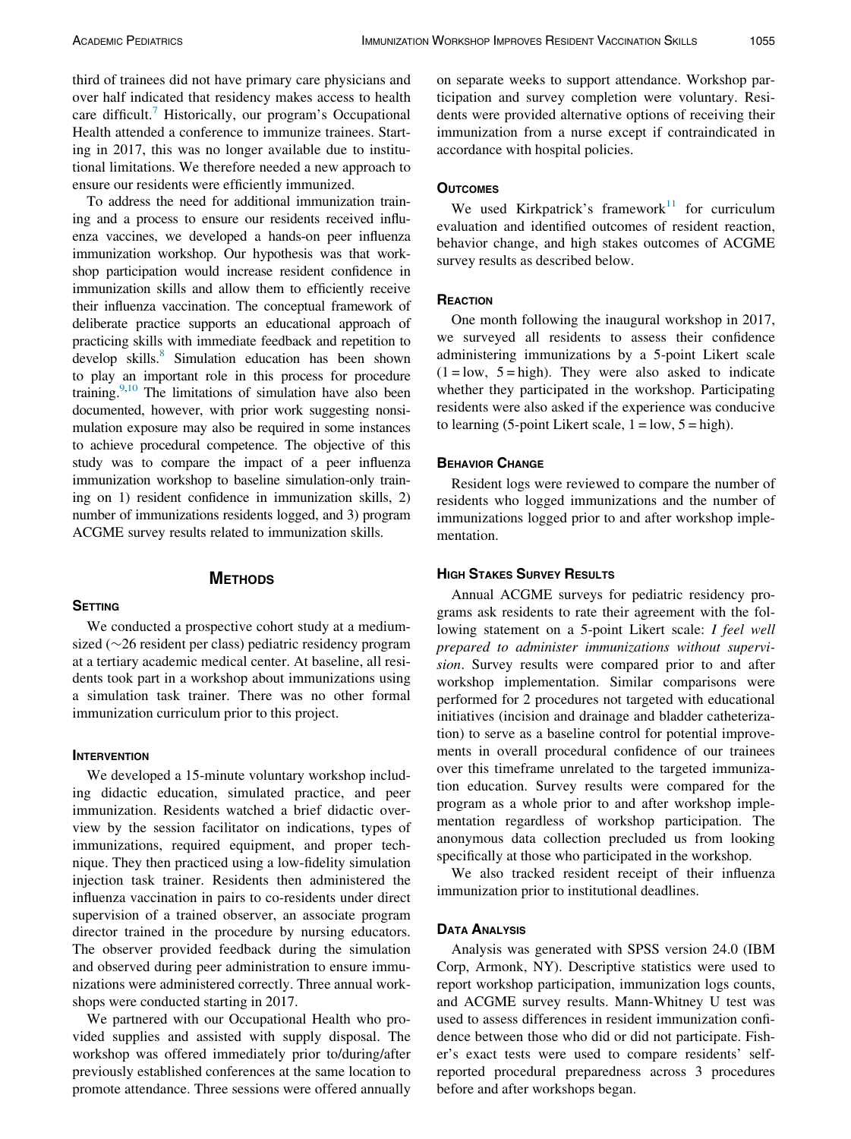third of trainees did not have primary care physicians and over half indicated that residency makes access to health care difficult.<sup>[7](#page-4-6)</sup> Historically, our program's Occupational Health attended a conference to immunize trainees. Starting in 2017, this was no longer available due to institutional limitations. We therefore needed a new approach to ensure our residents were efficiently immunized.

To address the need for additional immunization training and a process to ensure our residents received influenza vaccines, we developed a hands-on peer influenza immunization workshop. Our hypothesis was that workshop participation would increase resident confidence in immunization skills and allow them to efficiently receive their influenza vaccination. The conceptual framework of deliberate practice supports an educational approach of practicing skills with immediate feedback and repetition to develop skills.<sup>[8](#page-4-7)</sup> Simulation education has been shown to play an important role in this process for procedure training.<sup>9[,10](#page-4-9)</sup> The limitations of simulation have also been documented, however, with prior work suggesting nonsimulation exposure may also be required in some instances to achieve procedural competence. The objective of this study was to compare the impact of a peer influenza immunization workshop to baseline simulation-only training on 1) resident confidence in immunization skills, 2) number of immunizations residents logged, and 3) program ACGME survey results related to immunization skills.

### **METHODS** METHODS

We conducted a prospective cohort study at a mediumsized ( $\sim$ 26 resident per class) pediatric residency program at a tertiary academic medical center. At baseline, all residents took part in a workshop about immunizations using a simulation task trainer. There was no other formal immunization curriculum prior to this project.

We developed a 15-minute voluntary workshop including didactic education, simulated practice, and peer immunization. Residents watched a brief didactic overview by the session facilitator on indications, types of immunizations, required equipment, and proper technique. They then practiced using a low-fidelity simulation injection task trainer. Residents then administered the influenza vaccination in pairs to co-residents under direct supervision of a trained observer, an associate program director trained in the procedure by nursing educators. The observer provided feedback during the simulation and observed during peer administration to ensure immunizations were administered correctly. Three annual workshops were conducted starting in 2017.

We partnered with our Occupational Health who provided supplies and assisted with supply disposal. The workshop was offered immediately prior to/during/after previously established conferences at the same location to promote attendance. Three sessions were offered annually on separate weeks to support attendance. Workshop participation and survey completion were voluntary. Residents were provided alternative options of receiving their immunization from a nurse except if contraindicated in accordance with hospital policies.

We used Kirkpatrick's framework $11$  for curriculum evaluation and identified outcomes of resident reaction, behavior change, and high stakes outcomes of ACGME survey results as described below.

### REACTION

One month following the inaugural workshop in 2017, we surveyed all residents to assess their confidence administering immunizations by a 5-point Likert scale  $(1 = low, 5 = high)$ . They were also asked to indicate whether they participated in the workshop. Participating residents were also asked if the experience was conducive to learning (5-point Likert scale,  $1 = low$ ,  $5 = high$ ).

**EXIMIDE CHANGE**<br>Resident logs were reviewed to compare the number of residents who logged immunizations and the number of immunizations logged prior to and after workshop implementation.

Annual ACGME surveys for pediatric residency programs ask residents to rate their agreement with the following statement on a 5-point Likert scale: I feel well prepared to administer immunizations without supervision. Survey results were compared prior to and after workshop implementation. Similar comparisons were performed for 2 procedures not targeted with educational initiatives (incision and drainage and bladder catheterization) to serve as a baseline control for potential improvements in overall procedural confidence of our trainees over this timeframe unrelated to the targeted immunization education. Survey results were compared for the program as a whole prior to and after workshop implementation regardless of workshop participation. The anonymous data collection precluded us from looking specifically at those who participated in the workshop.

We also tracked resident receipt of their influenza immunization prior to institutional deadlines.

### **DATA ANALYSIS**

Analysis was generated with SPSS version 24.0 (IBM Corp, Armonk, NY). Descriptive statistics were used to report workshop participation, immunization logs counts, and ACGME survey results. Mann-Whitney U test was used to assess differences in resident immunization confidence between those who did or did not participate. Fisher's exact tests were used to compare residents' selfreported procedural preparedness across 3 procedures before and after workshops began.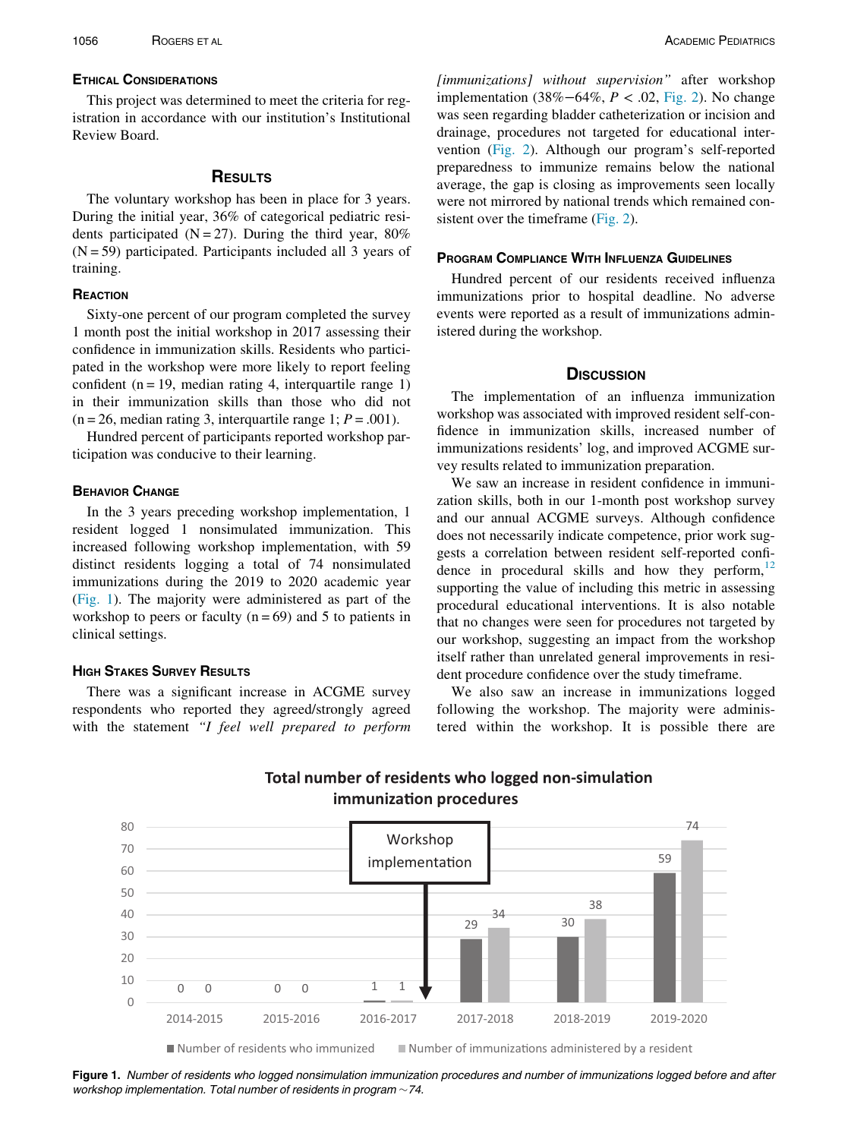This project was determined to meet the criteria for registration in accordance with our institution's Institutional Review Board.

### **RESULTS**

The voluntary workshop has been in place for 3 years. During the initial year, 36% of categorical pediatric residents participated ( $N = 27$ ). During the third year, 80%  $(N = 59)$  participated. Participants included all 3 years of training.

### REACTION

Sixty-one percent of our program completed the survey 1 month post the initial workshop in 2017 assessing their confidence in immunization skills. Residents who participated in the workshop were more likely to report feeling confident ( $n = 19$ , median rating 4, interquartile range 1) in their immunization skills than those who did not  $(n = 26, \text{ median rating } 3, \text{ interquartile range } 1; P = .001).$ 

Hundred percent of participants reported workshop participation was conducive to their learning.

### **BEHAVIOR CHANGE**

In the 3 years preceding workshop implementation, 1 resident logged 1 nonsimulated immunization. This increased following workshop implementation, with 59 distinct residents logging a total of 74 nonsimulated immunizations during the 2019 to 2020 academic year [\(Fig. 1](#page-2-0)). The majority were administered as part of the workshop to peers or faculty ( $n = 69$ ) and 5 to patients in clinical settings.

### **HIGH STAKES SURVEY RESULTS**

<span id="page-2-0"></span>There was a significant increase in ACGME survey respondents who reported they agreed/strongly agreed with the statement "I feel well prepared to perform [immunizations] without supervision" after workshop implementation (38%−64%, P < .02, [Fig. 2](#page-3-0)). No change was seen regarding bladder catheterization or incision and drainage, procedures not targeted for educational intervention ([Fig. 2](#page-3-0)). Although our program's self-reported preparedness to immunize remains below the national average, the gap is closing as improvements seen locally were not mirrored by national trends which remained con-sistent over the timeframe ([Fig. 2](#page-3-0)).

### **PROGRAM COMPLIANCE WITH INFLUENZA GUIDELINES**

Hundred percent of our residents received influenza immunizations prior to hospital deadline. No adverse events were reported as a result of immunizations administered during the workshop.

### **DISCUSSION**

The implementation of an influenza immunization workshop was associated with improved resident self-confidence in immunization skills, increased number of immunizations residents' log, and improved ACGME survey results related to immunization preparation.

We saw an increase in resident confidence in immunization skills, both in our 1-month post workshop survey and our annual ACGME surveys. Although confidence does not necessarily indicate competence, prior work suggests a correlation between resident self-reported confidence in procedural skills and how they perform, $^{12}$  $^{12}$  $^{12}$ supporting the value of including this metric in assessing procedural educational interventions. It is also notable that no changes were seen for procedures not targeted by our workshop, suggesting an impact from the workshop itself rather than unrelated general improvements in resident procedure confidence over the study timeframe.

We also saw an increase in immunizations logged following the workshop. The majority were administered within the workshop. It is possible there are



# -simulation **immunization procedures**

Figure 1. Number of residents who logged nonsimulation immunization procedures and number of immunizations logged before and after workshop implementation. Total number of residents in program  $\sim$  74.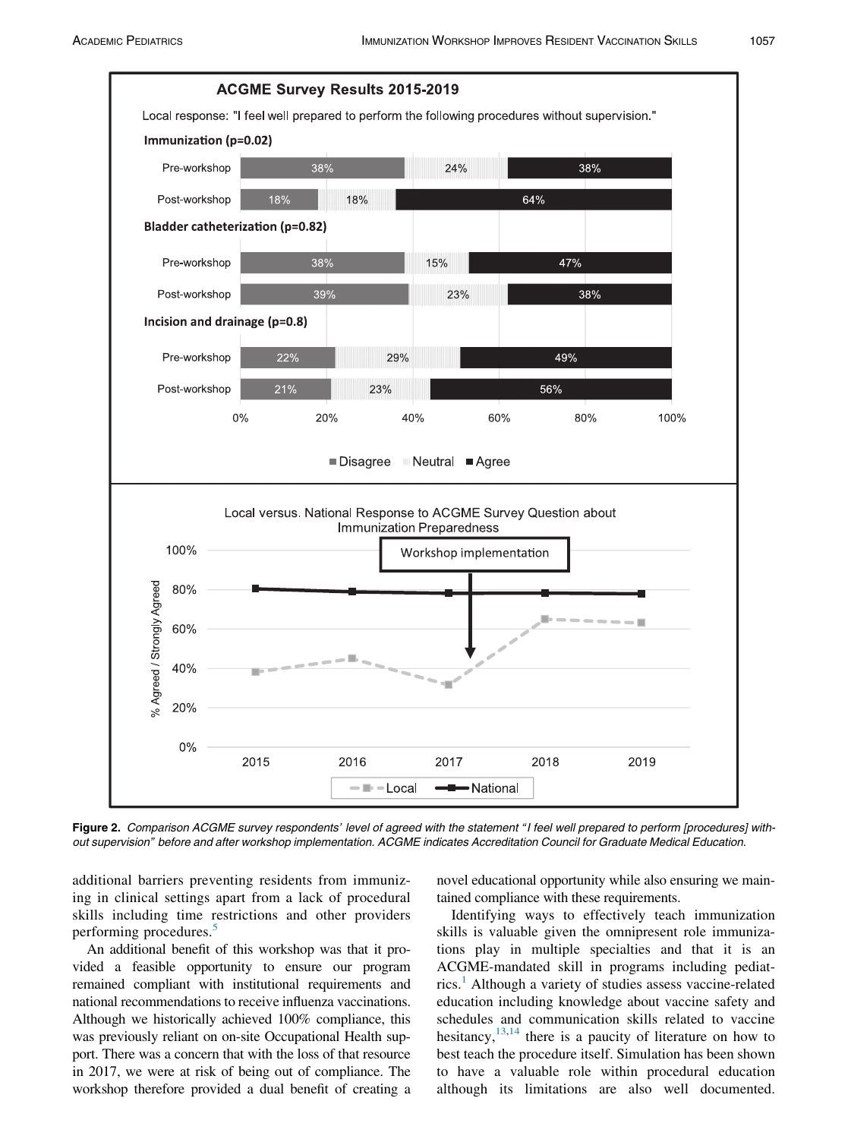<span id="page-3-0"></span>

Figure 2. Comparison ACGME survey respondents' level of agreed with the statement "I feel well prepared to perform [procedures] without supervision" before and after workshop implementation. ACGME indicates Accreditation Council for Graduate Medical Education.

additional barriers preventing residents from immunizing in clinical settings apart from a lack of procedural skills including time restrictions and other providers performing procedures.<sup>[5](#page-4-4)</sup>

An additional benefit of this workshop was that it provided a feasible opportunity to ensure our program remained compliant with institutional requirements and national recommendations to receive influenza vaccinations. Although we historically achieved 100% compliance, this was previously reliant on on-site Occupational Health support. There was a concern that with the loss of that resource in 2017, we were at risk of being out of compliance. The workshop therefore provided a dual benefit of creating a

novel educational opportunity while also ensuring we maintained compliance with these requirements.

Identifying ways to effectively teach immunization skills is valuable given the omnipresent role immunizations play in multiple specialties and that it is an ACGME-mandated skill in programs including pediat-rics.<sup>[1](#page-4-0)</sup> Although a variety of studies assess vaccine-related education including knowledge about vaccine safety and schedules and communication skills related to vaccine hesitancy,  $13,14$  $13,14$  $13,14$  there is a paucity of literature on how to best teach the procedure itself. Simulation has been shown to have a valuable role within procedural education although its limitations are also well documented.